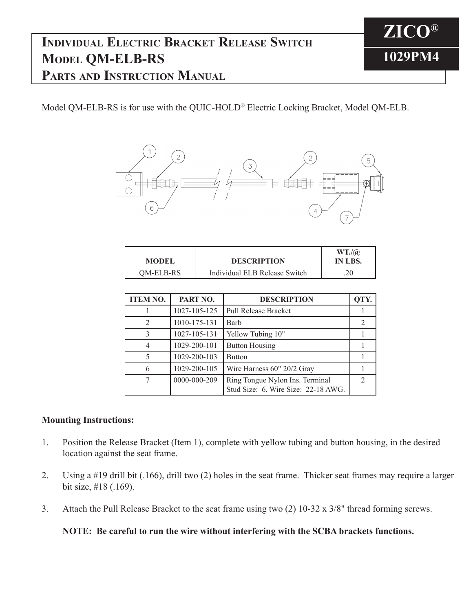## **Individual Electric Bracket Release Switch Model QM-ELB-RS Parts and Instruction Manual**

Model QM-ELB-RS is for use with the QUIC-HOLD® Electric Locking Bracket, Model QM-ELB.



| <b>MODEL</b> | <b>DESCRIPTION</b>            | WT.(a)<br>IN LBS. |
|--------------|-------------------------------|-------------------|
| QM-ELB-RS    | Individual ELB Release Switch | $20^{\circ}$      |

| <b>ITEM NO.</b> | PART NO.     | <b>DESCRIPTION</b>                                                     | QTY.          |
|-----------------|--------------|------------------------------------------------------------------------|---------------|
|                 | 1027-105-125 | <b>Pull Release Bracket</b>                                            |               |
| 2               | 1010-175-131 | Barb                                                                   | 2             |
| 3               | 1027-105-131 | Yellow Tubing 10"                                                      |               |
| 4               | 1029-200-101 | <b>Button Housing</b>                                                  |               |
|                 | 1029-200-103 | <b>Button</b>                                                          |               |
| 6               | 1029-200-105 | Wire Harness 60" 20/2 Gray                                             |               |
| 7               | 0000-000-209 | Ring Tongue Nylon Ins. Terminal<br>Stud Size: 6, Wire Size: 22-18 AWG. | $\mathcal{D}$ |

## **Mounting Instructions:**

- 1. Position the Release Bracket (Item 1), complete with yellow tubing and button housing, in the desired location against the seat frame.
- 2. Using a #19 drill bit (.166), drill two (2) holes in the seat frame. Thicker seat frames may require a larger bit size, #18 (.169).
- 3. Attach the Pull Release Bracket to the seat frame using two (2) 10-32 x 3/8" thread forming screws.

**NOTE: Be careful to run the wire without interfering with the SCBA brackets functions.**